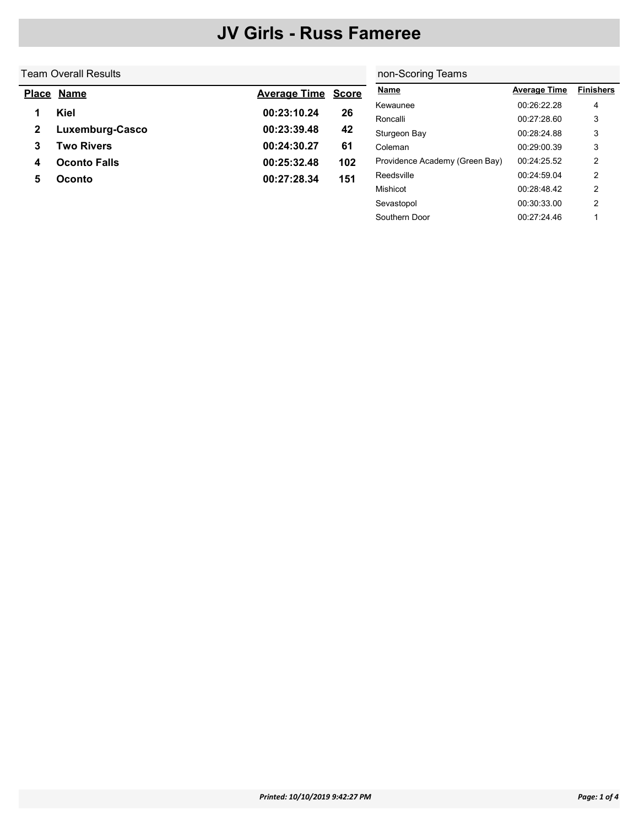#### Team Overall Results

### non-Scoring Teams

Southern Door 00:27:24.46 1

| <u>Place</u> | <b>Name</b>         | <b>Average Time</b> | <b>Score</b> | <b>Name</b>                    | <b>Average Time</b> | <b>Finishers</b> |
|--------------|---------------------|---------------------|--------------|--------------------------------|---------------------|------------------|
|              |                     |                     |              | Kewaunee                       | 00:26:22.28         | 4                |
|              | Kiel                | 00:23:10.24         | 26           | Roncalli                       | 00:27:28.60         | 3                |
| 2            | Luxemburg-Casco     | 00:23:39.48         | 42           | Sturgeon Bay                   | 00:28:24.88         | 3                |
| 3            | <b>Two Rivers</b>   | 00:24:30.27         | 61           | Coleman                        | 00:29:00.39         | 3                |
| 4            | <b>Oconto Falls</b> | 00:25:32.48         | 102          | Providence Academy (Green Bay) | 00:24:25.52         | 2                |
| 5            | Oconto              | 00:27:28.34         | 151          | Reedsville                     | 00:24:59.04         | 2                |
|              |                     |                     |              | Mishicot                       | 00:28:48.42         | $\overline{2}$   |
|              |                     |                     |              | Sevastopol                     | 00:30:33.00         | 2                |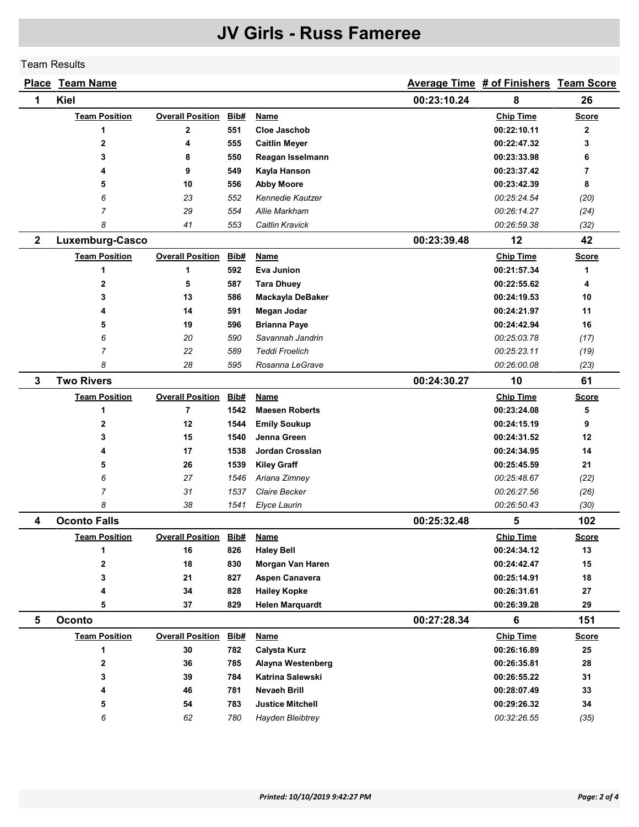#### Team Results

|              | <b>Place Team Name</b> |                              |      |                         |                            | Average Time # of Finishers Team Score |              |
|--------------|------------------------|------------------------------|------|-------------------------|----------------------------|----------------------------------------|--------------|
| 1            | Kiel                   |                              |      |                         | 00:23:10.24                | 8                                      | 26           |
|              | <b>Team Position</b>   | <b>Overall Position</b>      | Bib# | <b>Name</b>             |                            | <b>Chip Time</b>                       | <b>Score</b> |
|              | 1                      | 2                            | 551  | Cloe Jaschob            |                            | 00:22:10.11                            | $\mathbf{2}$ |
|              | $\mathbf{2}$           | 4                            | 555  | <b>Caitlin Meyer</b>    |                            | 00:22:47.32                            | 3            |
|              | 3                      | 8                            | 550  | Reagan Isselmann        |                            | 00:23:33.98                            | 6            |
|              | 4                      | 9                            | 549  | Kayla Hanson            |                            | 00:23:37.42                            | 7            |
|              | 5                      | 10                           | 556  | <b>Abby Moore</b>       |                            | 00:23:42.39                            | 8            |
|              | 6                      | 23                           | 552  | Kennedie Kautzer        |                            | 00:25:24.54                            | (20)         |
|              | $\overline{7}$         | 29                           | 554  | Allie Markham           |                            | 00:26:14.27                            | (24)         |
|              | 8                      | 41                           | 553  | Caitlin Kravick         |                            | 00:26:59.38                            | (32)         |
| $\mathbf{2}$ | Luxemburg-Casco        |                              |      |                         | 00:23:39.48                | 12                                     | 42           |
|              | <b>Team Position</b>   | <b>Overall Position</b>      | Bib# | <b>Name</b>             |                            | <b>Chip Time</b>                       | <b>Score</b> |
|              | 1                      | 1                            | 592  | Eva Junion              |                            | 00:21:57.34                            | 1            |
|              | 2                      | 5                            | 587  | <b>Tara Dhuey</b>       |                            | 00:22:55.62                            | 4            |
|              | 3                      | 13                           | 586  | Mackayla DeBaker        | 00:24:19.53<br>00:24:21.97 |                                        | 10           |
|              | 4                      | 14                           | 591  | Megan Jodar             |                            |                                        | 11           |
|              | 5                      | 19                           | 596  | <b>Brianna Paye</b>     | 00:24:42.94                |                                        | 16           |
|              | 6                      | 20                           | 590  | Savannah Jandrin        |                            | 00:25:03.78                            | (17)         |
|              | $\overline{7}$         | 22                           | 589  | <b>Teddi Froelich</b>   |                            | 00:25:23.11                            | (19)         |
|              | 8                      | 28                           | 595  | Rosanna LeGrave         |                            | 00:26:00.08                            | (23)         |
| $\mathbf{3}$ | <b>Two Rivers</b>      |                              |      |                         | 00:24:30.27                | 10                                     | 61           |
|              | <b>Team Position</b>   | <b>Overall Position</b>      | Bib# | <b>Name</b>             |                            | <b>Chip Time</b>                       | <b>Score</b> |
|              | 1                      | $\overline{7}$               | 1542 | <b>Maesen Roberts</b>   |                            | 00:23:24.08                            | 5            |
|              | 2                      | 12                           | 1544 | <b>Emily Soukup</b>     |                            | 00:24:15.19                            | 9            |
|              | 3                      | 15                           | 1540 | Jenna Green             |                            | 00:24:31.52                            | 12           |
|              | 4                      | 17                           | 1538 | Jordan Crosslan         |                            | 00:24:34.95                            | 14           |
|              | 5                      | 26                           | 1539 | <b>Kiley Graff</b>      |                            | 00:25:45.59                            | 21           |
|              | 6                      | 27                           | 1546 | Ariana Zimney           |                            | 00:25:48.67                            | (22)         |
|              | $\overline{7}$         | 31                           | 1537 | Claire Becker           |                            | 00:26:27.56                            | (26)         |
|              | 8                      | 38                           | 1541 | Elyce Laurin            |                            | 00:26:50.43                            | (30)         |
| 4            | <b>Oconto Falls</b>    |                              |      |                         | 00:25:32.48                | 5                                      | 102          |
|              | <b>Team Position</b>   | <b>Overall Position</b>      | Bib# | Name                    |                            | <b>Chip Time</b>                       | <u>Score</u> |
|              | 1                      | 16                           | 826  | <b>Haley Bell</b>       |                            | 00:24:34.12                            | 13           |
|              | 2                      | 18                           | 830  | Morgan Van Haren        |                            | 00:24:42.47                            | 15           |
|              | 3                      | 21                           | 827  | Aspen Canavera          |                            | 00:25:14.91                            | 18           |
|              | 4                      | 34                           | 828  | <b>Hailey Kopke</b>     |                            | 00:26:31.61                            | 27           |
|              | 5                      | 37                           | 829  | <b>Helen Marquardt</b>  |                            | 00:26:39.28                            | 29           |
| 5            | Oconto                 |                              |      |                         | 00:27:28.34                | 6                                      | 151          |
|              | <b>Team Position</b>   | <b>Overall Position Bib#</b> |      | <b>Name</b>             |                            | <b>Chip Time</b>                       | <b>Score</b> |
|              | 1                      | $30\,$                       | 782  | <b>Calysta Kurz</b>     |                            | 00:26:16.89                            | 25           |
|              | 2                      | 36                           | 785  | Alayna Westenberg       |                            | 00:26:35.81                            | 28           |
|              | 3                      | 39                           | 784  | <b>Katrina Salewski</b> |                            | 00:26:55.22                            | 31           |
|              | 4                      | 46                           | 781  | Nevaeh Brill            |                            | 00:28:07.49                            | 33           |
|              | 5                      | 54                           | 783  | <b>Justice Mitchell</b> |                            | 00:29:26.32                            | 34           |
|              | 6                      | 62                           | 780  | Hayden Bleibtrey        |                            | 00:32:26.55                            | (35)         |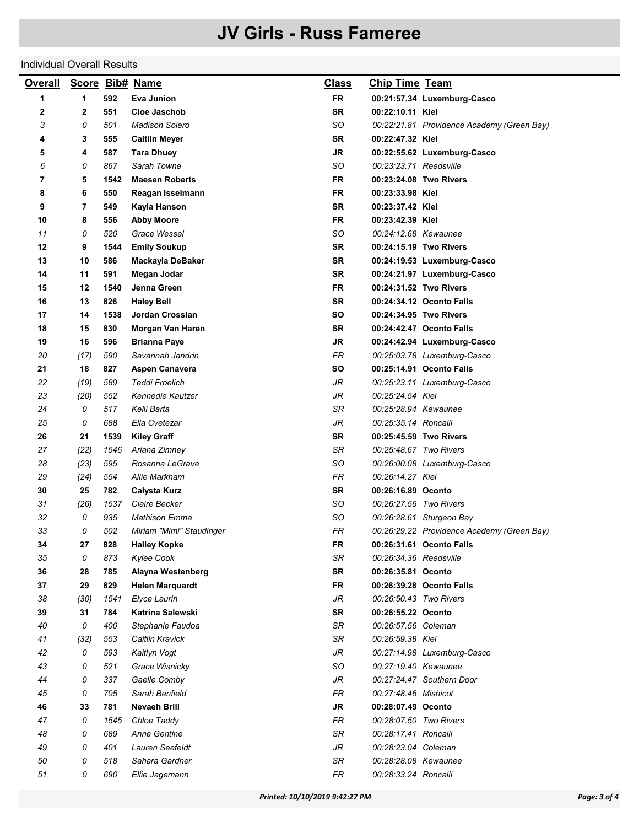#### Individual Overall Results

| <b>Overall</b> |              |      | Score Bib# Name          | <b>Class</b> | <b>Chip Time Team</b>  |                                                                        |
|----------------|--------------|------|--------------------------|--------------|------------------------|------------------------------------------------------------------------|
| 1              | 1            | 592  | Eva Junion               | <b>FR</b>    |                        | 00:21:57.34 Luxemburg-Casco                                            |
| 2              | $\mathbf{2}$ | 551  | <b>Cloe Jaschob</b>      | <b>SR</b>    | 00:22:10.11 Kiel       |                                                                        |
| 3              | 0            | 501  | <b>Madison Solero</b>    | SO           |                        | 00:22:21.81 Providence Academy (Green Bay)                             |
| 4              | 3            | 555  | <b>Caitlin Meyer</b>     | <b>SR</b>    | 00:22:47.32 Kiel       |                                                                        |
| 5              | 4            | 587  | <b>Tara Dhuey</b>        | JR           |                        | 00:22:55.62 Luxemburg-Casco                                            |
| 6              | 0            | 867  | Sarah Towne              | SO           | 00:23:23.71 Reedsville |                                                                        |
| 7              | 5            | 1542 | <b>Maesen Roberts</b>    | FR           | 00:23:24.08 Two Rivers |                                                                        |
| 8              | 6            | 550  | Reagan Isselmann         | FR           | 00:23:33.98 Kiel       |                                                                        |
| 9              | 7            | 549  | Kayla Hanson             | <b>SR</b>    | 00:23:37.42 Kiel       |                                                                        |
| 10             | 8            | 556  | <b>Abby Moore</b>        | FR           | 00:23:42.39 Kiel       |                                                                        |
| 11             | 0            | 520  | Grace Wessel             | SO           | 00:24:12.68 Kewaunee   |                                                                        |
| 12             | 9            | 1544 | <b>Emily Soukup</b>      | <b>SR</b>    | 00:24:15.19 Two Rivers |                                                                        |
| 13             | 10           | 586  | Mackayla DeBaker         | <b>SR</b>    |                        | 00:24:19.53 Luxemburg-Casco                                            |
| 14             | 11           | 591  | Megan Jodar              | <b>SR</b>    |                        | 00:24:21.97 Luxemburg-Casco                                            |
| 15             | 12           | 1540 | Jenna Green              | FR           | 00:24:31.52 Two Rivers |                                                                        |
| 16             | 13           | 826  | <b>Haley Bell</b>        | <b>SR</b>    |                        | 00:24:34.12 Oconto Falls                                               |
| 17             | 14           | 1538 | Jordan Crosslan          | SO           | 00:24:34.95 Two Rivers |                                                                        |
| 18             | 15           | 830  | Morgan Van Haren         | <b>SR</b>    |                        | 00:24:42.47 Oconto Falls                                               |
| 19             | 16           | 596  | <b>Brianna Paye</b>      | JR           |                        | 00:24:42.94 Luxemburg-Casco                                            |
| 20             | (17)         | 590  | Savannah Jandrin         | FR           |                        | 00:25:03.78 Luxemburg-Casco                                            |
| 21             | 18           | 827  | <b>Aspen Canavera</b>    | SO           |                        | 00:25:14.91 Oconto Falls                                               |
| 22             | (19)         | 589  | <b>Teddi Froelich</b>    | JR           |                        | 00:25:23.11 Luxemburg-Casco                                            |
| 23             | (20)         | 552  | Kennedie Kautzer         | JR           | 00:25:24.54 Kiel       |                                                                        |
| 24             | 0            | 517  | Kelli Barta              | SR           | 00:25:28.94 Kewaunee   |                                                                        |
| 25             | 0            | 688  | Ella Cvetezar            | JR           | 00:25:35.14 Roncalli   |                                                                        |
| 26             | 21           | 1539 | <b>Kiley Graff</b>       | <b>SR</b>    | 00:25:45.59 Two Rivers |                                                                        |
| 27             | (22)         | 1546 | Ariana Zimney            | SR           | 00:25:48.67 Two Rivers |                                                                        |
| 28             | (23)         | 595  | Rosanna LeGrave          | SO           |                        | 00:26:00.08 Luxemburg-Casco                                            |
| 29             | (24)         | 554  | Allie Markham            | FR           | 00:26:14.27 Kiel       |                                                                        |
| 30             | 25           | 782  | <b>Calysta Kurz</b>      | <b>SR</b>    | 00:26:16.89 Oconto     |                                                                        |
| 31             | (26)         | 1537 | Claire Becker            | SO           | 00:26:27.56 Two Rivers |                                                                        |
| 32             | 0            | 935  | <b>Mathison Emma</b>     | SO           |                        |                                                                        |
| 33             | 0            | 502  | Miriam "Mimi" Staudinger | FR           |                        | 00:26:28.61 Sturgeon Bay<br>00:26:29.22 Providence Academy (Green Bay) |
|                | 27           | 828  | <b>Hailey Kopke</b>      |              |                        | 00:26:31.61 Oconto Falls                                               |
| 34<br>35       | 0            | 873  | <b>Kylee Cook</b>        | FR<br>SR     | 00:26:34.36 Reedsville |                                                                        |
| 36             | 28           | 785  | Alayna Westenberg        | <b>SR</b>    | 00:26:35.81 Oconto     |                                                                        |
| 37             | 29           | 829  | <b>Helen Marquardt</b>   | FR           |                        | 00:26:39.28 Oconto Falls                                               |
|                |              |      | Elyce Laurin             | JR           | 00:26:50.43 Two Rivers |                                                                        |
| 38             | (30)         | 1541 |                          | <b>SR</b>    |                        |                                                                        |
| 39             | 31           | 784  | Katrina Salewski         |              | 00:26:55.22 Oconto     |                                                                        |
| 40             | 0            | 400  | Stephanie Faudoa         | SR           | 00:26:57.56 Coleman    |                                                                        |
| 41             | (32)         | 553  | Caitlin Kravick          | SR           | 00:26:59.38 Kiel       |                                                                        |
| 42             | 0            | 593  | Kaitlyn Vogt             | JR           |                        | 00:27:14.98 Luxemburg-Casco                                            |
| 43             | 0            | 521  | Grace Wisnicky           | SO           | 00:27:19.40 Kewaunee   |                                                                        |
| 44             | 0            | 337  | Gaelle Comby             | JR           |                        | 00:27:24.47 Southern Door                                              |
| 45             | 0            | 705  | Sarah Benfield           | FR           | 00:27:48.46 Mishicot   |                                                                        |
| 46             | 33           | 781  | Nevaeh Brill             | JR           | 00:28:07.49 Oconto     |                                                                        |
| 47             | 0            | 1545 | Chloe Taddy              | <b>FR</b>    | 00:28:07.50 Two Rivers |                                                                        |
| 48             | 0            | 689  | <b>Anne Gentine</b>      | SR           | 00:28:17.41 Roncalli   |                                                                        |
| 49             | 0            | 401  | Lauren Seefeldt          | JR           | 00:28:23.04 Coleman    |                                                                        |
| 50             | 0            | 518  | Sahara Gardner           | SR           | 00:28:28.08 Kewaunee   |                                                                        |
| 51             | 0            | 690  | Ellie Jagemann           | FR           | 00:28:33.24 Roncalli   |                                                                        |